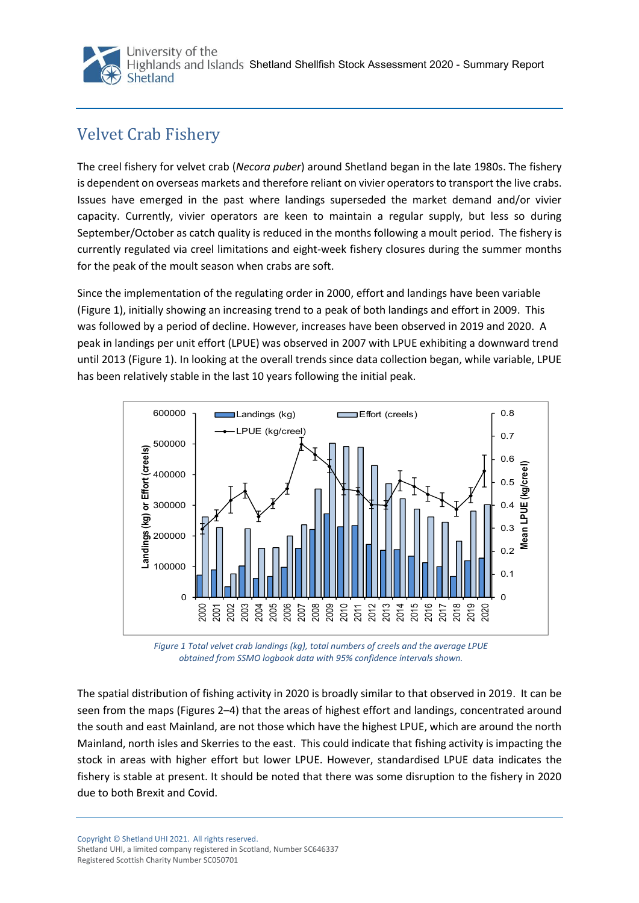

## Velvet Crab Fishery

The creel fishery for velvet crab (*Necora puber*) around Shetland began in the late 1980s. The fishery is dependent on overseas markets and therefore reliant on vivier operators to transport the live crabs. Issues have emerged in the past where landings superseded the market demand and/or vivier capacity. Currently, vivier operators are keen to maintain a regular supply, but less so during September/October as catch quality is reduced in the months following a moult period. The fishery is currently regulated via creel limitations and eight-week fishery closures during the summer months for the peak of the moult season when crabs are soft.

Since the implementation of the regulating order in 2000, effort and landings have been variable (Figure 1), initially showing an increasing trend to a peak of both landings and effort in 2009. This was followed by a period of decline. However, increases have been observed in 2019 and 2020. A peak in landings per unit effort (LPUE) was observed in 2007 with LPUE exhibiting a downward trend until 2013 [\(Figure 1](#page-0-0)). In looking at the overall trends since data collection began, while variable, LPUE has been relatively stable in the last 10 years following the initial peak.



<span id="page-0-0"></span>*Figure 1 Total velvet crab landings (kg), total numbers of creels and the average LPUE obtained from SSMO logbook data with 95% confidence intervals shown.* 

The spatial distribution of fishing activity in 2020 is broadly similar to that observed in 2019. It can be seen from the maps (Figures 2–4) that the areas of highest effort and landings, concentrated around the south and east Mainland, are not those which have the highest LPUE, which are around the north Mainland, north isles and Skerries to the east. This could indicate that fishing activity is impacting the stock in areas with higher effort but lower LPUE. However, standardised LPUE data indicates the fishery is stable at present. It should be noted that there was some disruption to the fishery in 2020 due to both Brexit and Covid.